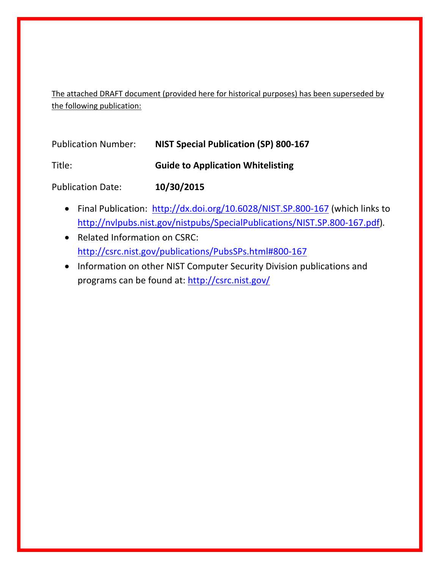The attached DRAFT document (provided here for historical purposes) has been superseded by the following publication:

| <b>Publication Number:</b> | <b>NIST Special Publication (SP) 800-167</b> |
|----------------------------|----------------------------------------------|
| Title:                     | <b>Guide to Application Whitelisting</b>     |
| <b>Publication Date:</b>   | 10/30/2015                                   |

- Final Publication: <http://dx.doi.org/10.6028/NIST.SP.800-167>(which links to [http://nvlpubs.nist.gov/nistpubs/SpecialPublications/NIST.SP.800-167.pdf\)](http://nvlpubs.nist.gov/nistpubs/SpecialPublications/NIST.SP.800-167.pdf)*.*
- Related Information on CSRC: [http://csrc.nist.gov/publications/PubsSPs.html#800-167](http://csrc.nist.gov/publications/PubsSPs.html%23800-167)
- Information on other NIST Computer Security Division publications and programs can be found at:<http://csrc.nist.gov/>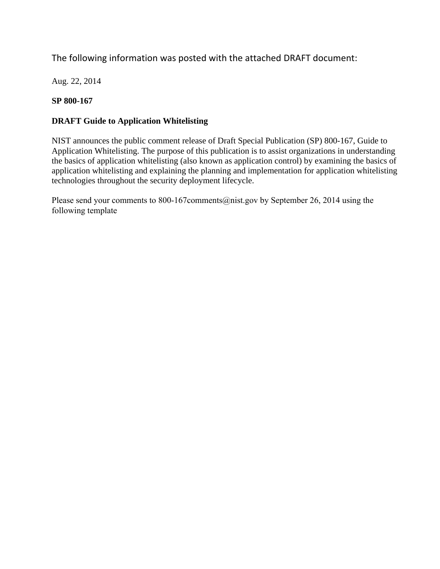The following information was posted with the attached DRAFT document:

Aug. 22, 2014

#### **SP 800-167**

#### **DRAFT Guide to Application Whitelisting**

NIST announces the public comment release of Draft Special Publication (SP) 800-167, Guide to Application Whitelisting. The purpose of this publication is to assist organizations in understanding the basics of application whitelisting (also known as application control) by examining the basics of application whitelisting and explaining the planning and implementation for application whitelisting technologies throughout the security deployment lifecycle.

Please send your comments to 800-167comments@nist.gov by September 26, 2014 using the following template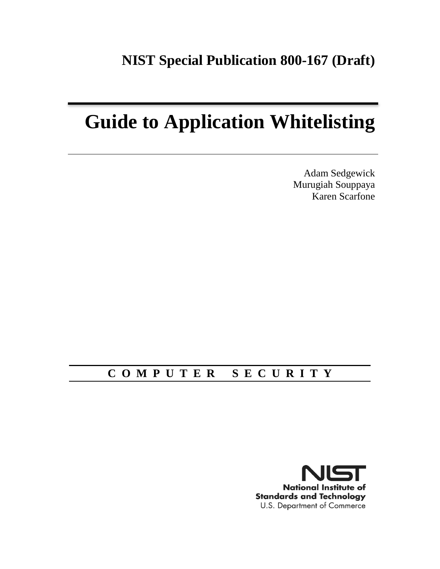# **Guide to Application Whitelisting**

Adam Sedgewick Murugiah Souppaya Karen Scarfone

### **C O M P U T E R S E C U R I T Y**

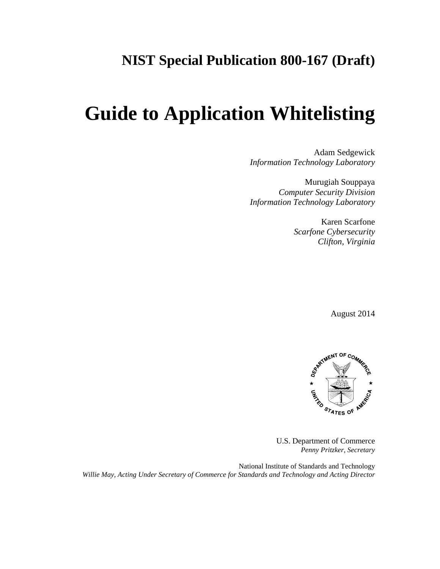# **NIST Special Publication 800-167 (Draft)**

# **Guide to Application Whitelisting**

Adam Sedgewick *Information Technology Laboratory* 

Murugiah Souppaya *Computer Security Division Information Technology Laboratory* 

> Karen Scarfone *Scarfone Cybersecurity Clifton, Virginia*

> > August 2014



U.S. Department of Commerce *Penny Pritzker, Secretary*

National Institute of Standards and Technology *Willie May, Acting Under Secretary of Commerce for Standards and Technology and Acting Director*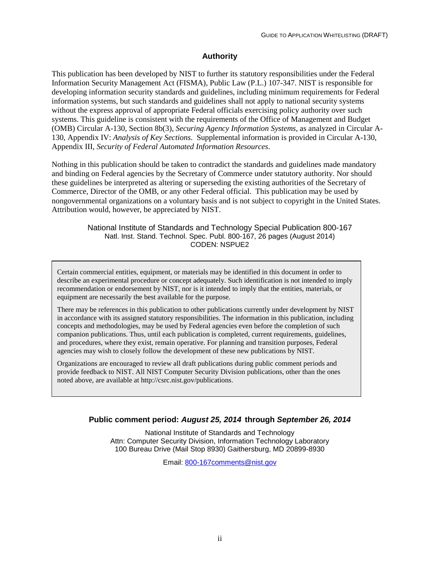#### **Authority**

This publication has been developed by NIST to further its statutory responsibilities under the Federal Information Security Management Act (FISMA), Public Law (P.L.) 107-347. NIST is responsible for developing information security standards and guidelines, including minimum requirements for Federal information systems, but such standards and guidelines shall not apply to national security systems without the express approval of appropriate Federal officials exercising policy authority over such systems. This guideline is consistent with the requirements of the Office of Management and Budget (OMB) Circular A-130, Section 8b(3), *Securing Agency Information Systems*, as analyzed in Circular A-130, Appendix IV: *Analysis of Key Sections*. Supplemental information is provided in Circular A-130, Appendix III, *Security of Federal Automated Information Resources*.

Nothing in this publication should be taken to contradict the standards and guidelines made mandatory and binding on Federal agencies by the Secretary of Commerce under statutory authority. Nor should these guidelines be interpreted as altering or superseding the existing authorities of the Secretary of Commerce, Director of the OMB, or any other Federal official. This publication may be used by nongovernmental organizations on a voluntary basis and is not subject to copyright in the United States. Attribution would, however, be appreciated by NIST.

> National Institute of Standards and Technology Special Publication 800-167 Natl. Inst. Stand. Technol. Spec. Publ. 800-167, 26 pages (August 2014) CODEN: NSPUE2

 Certain commercial entities, equipment, or materials may be identified in this document in order to describe an experimental procedure or concept adequately. Such identification is not intended to imply recommendation or endorsement by NIST, nor is it intended to imply that the entities, materials, or equipment are necessarily the best available for the purpose.

There may be references in this publication to other publications currently under development by NIST in accordance with its assigned statutory responsibilities. The information in this publication, including concepts and methodologies, may be used by Federal agencies even before the completion of such companion publications. Thus, until each publication is completed, current requirements, guidelines, and procedures, where they exist, remain operative. For planning and transition purposes, Federal agencies may wish to closely follow the development of these new publications by NIST.

Organizations are encouraged to review all draft publications during public comment periods and provide feedback to NIST. All NIST Computer Security Division publications, other than the ones noted above, are available at http://csrc.nist.gov/publications.

#### **Public comment period:** *August 25, 2014* **through** *September 26, 2014*

National Institute of Standards and Technology Attn: Computer Security Division, Information Technology Laboratory 100 Bureau Drive (Mail Stop 8930) Gaithersburg, MD 20899-8930

Email: [800-167comments@nist.gov](mailto:800-167comments@nist.gov)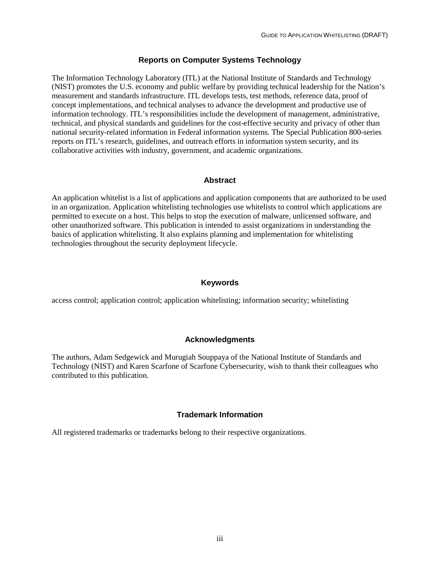#### **Reports on Computer Systems Technology**

The Information Technology Laboratory (ITL) at the National Institute of Standards and Technology (NIST) promotes the U.S. economy and public welfare by providing technical leadership for the Nation's measurement and standards infrastructure. ITL develops tests, test methods, reference data, proof of concept implementations, and technical analyses to advance the development and productive use of information technology. ITL's responsibilities include the development of management, administrative, technical, and physical standards and guidelines for the cost-effective security and privacy of other than national security-related information in Federal information systems. The Special Publication 800-series reports on ITL's research, guidelines, and outreach efforts in information system security, and its collaborative activities with industry, government, and academic organizations.

#### **Abstract**

An application whitelist is a list of applications and application components that are authorized to be used in an organization. Application whitelisting technologies use whitelists to control which applications are permitted to execute on a host. This helps to stop the execution of malware, unlicensed software, and other unauthorized software. This publication is intended to assist organizations in understanding the basics of application whitelisting. It also explains planning and implementation for whitelisting technologies throughout the security deployment lifecycle.

#### **Keywords**

access control; application control; application whitelisting; information security; whitelisting

#### **Acknowledgments**

The authors, Adam Sedgewick and Murugiah Souppaya of the National Institute of Standards and Technology (NIST) and Karen Scarfone of Scarfone Cybersecurity, wish to thank their colleagues who contributed to this publication.

#### **Trademark Information**

All registered trademarks or trademarks belong to their respective organizations.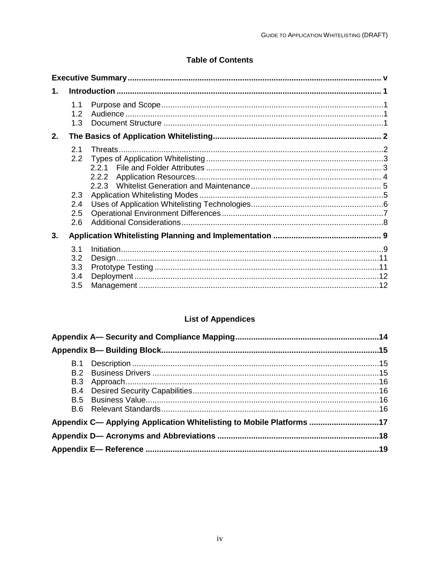#### **Table of Contents**

| 1. |                   |       |  |
|----|-------------------|-------|--|
|    | 1.1<br>1.2<br>1.3 |       |  |
| 2. |                   |       |  |
|    | 2.1               |       |  |
|    | 2.2               |       |  |
|    |                   | 2.2.1 |  |
|    |                   | 2.2.2 |  |
|    |                   |       |  |
|    | 2.3               |       |  |
|    | 2.4               |       |  |
|    | 2.5               |       |  |
|    | 2.6               |       |  |
| 3. |                   |       |  |
|    | 3.1               |       |  |
|    | 3.2               |       |  |
|    | 3.3               |       |  |
|    | 3.4               |       |  |
|    | 3.5               |       |  |

### **List of Appendices**

|  | Appendix C- Applying Application Whitelisting to Mobile Platforms 17 |  |  |
|--|----------------------------------------------------------------------|--|--|
|  |                                                                      |  |  |
|  |                                                                      |  |  |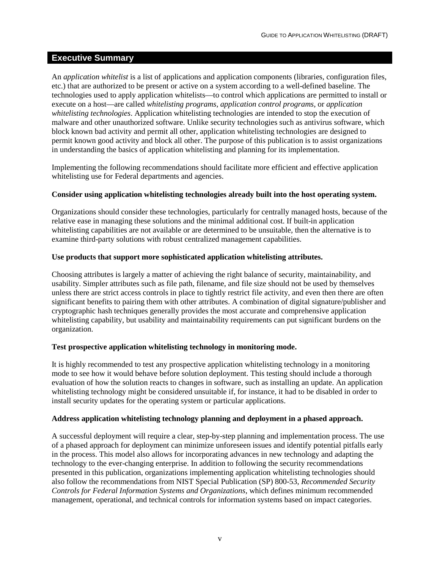#### <span id="page-7-0"></span>**Executive Summary**

An *application whitelist* is a list of applications and application components (libraries, configuration files, etc.) that are authorized to be present or active on a system according to a well-defined baseline. The technologies used to apply application whitelists—to control which applications are permitted to install or execute on a host—are called *whitelisting programs*, *application control programs,* or *application whitelisting technologies*. Application whitelisting technologies are intended to stop the execution of malware and other unauthorized software. Unlike security technologies such as antivirus software, which block known bad activity and permit all other, application whitelisting technologies are designed to permit known good activity and block all other. The purpose of this publication is to assist organizations in understanding the basics of application whitelisting and planning for its implementation.

Implementing the following recommendations should facilitate more efficient and effective application whitelisting use for Federal departments and agencies.

#### **Consider using application whitelisting technologies already built into the host operating system.**

Organizations should consider these technologies, particularly for centrally managed hosts, because of the relative ease in managing these solutions and the minimal additional cost. If built-in application whitelisting capabilities are not available or are determined to be unsuitable, then the alternative is to examine third-party solutions with robust centralized management capabilities.

#### **Use products that support more sophisticated application whitelisting attributes.**

Choosing attributes is largely a matter of achieving the right balance of security, maintainability, and usability. Simpler attributes such as file path, filename, and file size should not be used by themselves unless there are strict access controls in place to tightly restrict file activity, and even then there are often significant benefits to pairing them with other attributes. A combination of digital signature/publisher and cryptographic hash techniques generally provides the most accurate and comprehensive application whitelisting capability, but usability and maintainability requirements can put significant burdens on the organization.

#### **Test prospective application whitelisting technology in monitoring mode.**

It is highly recommended to test any prospective application whitelisting technology in a monitoring mode to see how it would behave before solution deployment. This testing should include a thorough evaluation of how the solution reacts to changes in software, such as installing an update. An application whitelisting technology might be considered unsuitable if, for instance, it had to be disabled in order to install security updates for the operating system or particular applications.

#### **Address application whitelisting technology planning and deployment in a phased approach.**

A successful deployment will require a clear, step-by-step planning and implementation process. The use of a phased approach for deployment can minimize unforeseen issues and identify potential pitfalls early in the process. This model also allows for incorporating advances in new technology and adapting the technology to the ever-changing enterprise. In addition to following the security recommendations presented in this publication, organizations implementing application whitelisting technologies should also follow the recommendations from NIST Special Publication (SP) 800-53, *Recommended Security Controls for Federal Information Systems and Organizations*, which defines minimum recommended management, operational, and technical controls for information systems based on impact categories.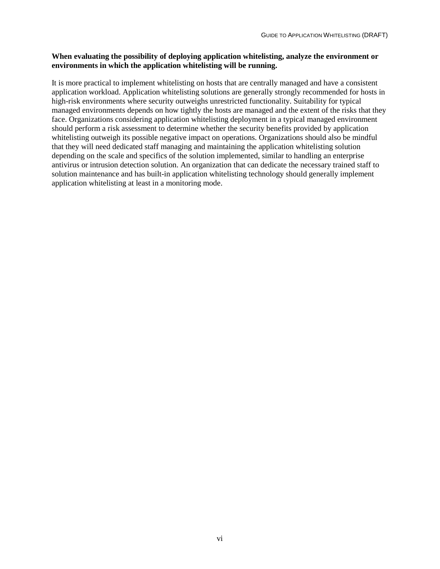#### **When evaluating the possibility of deploying application whitelisting, analyze the environment or environments in which the application whitelisting will be running.**

It is more practical to implement whitelisting on hosts that are centrally managed and have a consistent application workload. Application whitelisting solutions are generally strongly recommended for hosts in high-risk environments where security outweighs unrestricted functionality. Suitability for typical managed environments depends on how tightly the hosts are managed and the extent of the risks that they face. Organizations considering application whitelisting deployment in a typical managed environment should perform a risk assessment to determine whether the security benefits provided by application whitelisting outweigh its possible negative impact on operations. Organizations should also be mindful that they will need dedicated staff managing and maintaining the application whitelisting solution depending on the scale and specifics of the solution implemented, similar to handling an enterprise antivirus or intrusion detection solution. An organization that can dedicate the necessary trained staff to solution maintenance and has built-in application whitelisting technology should generally implement application whitelisting at least in a monitoring mode.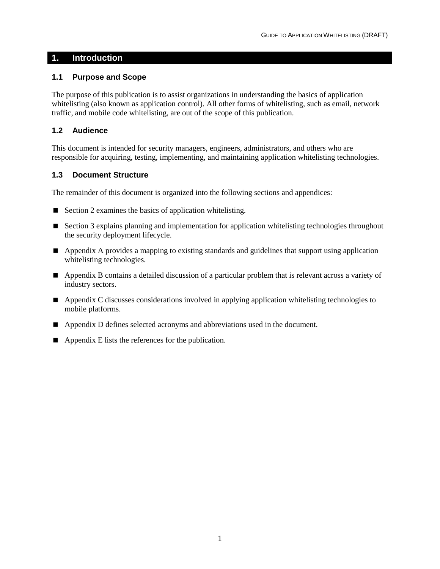#### <span id="page-9-0"></span>**1. Introduction**

#### <span id="page-9-1"></span>**1.1 Purpose and Scope**

The purpose of this publication is to assist organizations in understanding the basics of application whitelisting (also known as application control). All other forms of whitelisting, such as email, network traffic, and mobile code whitelisting, are out of the scope of this publication.

#### <span id="page-9-2"></span>**1.2 Audience**

This document is intended for security managers, engineers, administrators, and others who are responsible for acquiring, testing, implementing, and maintaining application whitelisting technologies.

#### <span id="page-9-3"></span>**1.3 Document Structure**

The remainder of this document is organized into the following sections and appendices:

- Section 2 examines the basics of application whitelisting.
- Section 3 explains planning and implementation for application whitelisting technologies throughout the security deployment lifecycle.
- **Appendix A provides a mapping to existing standards and guidelines that support using application** whitelisting technologies.
- Appendix B contains a detailed discussion of a particular problem that is relevant across a variety of industry sectors.
- **Appendix C discusses considerations involved in applying application whitelisting technologies to** mobile platforms.
- Appendix D defines selected acronyms and abbreviations used in the document.
- $\blacksquare$  Appendix E lists the references for the publication.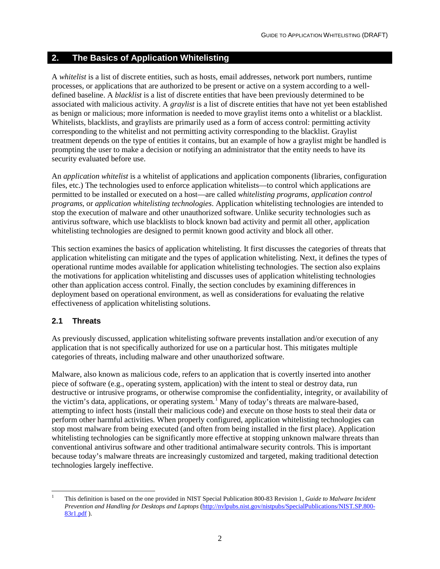#### <span id="page-10-0"></span>**2. The Basics of Application Whitelisting**

A *whitelist* is a list of discrete entities, such as hosts, email addresses, network port numbers, runtime processes, or applications that are authorized to be present or active on a system according to a welldefined baseline. A *blacklist* is a list of discrete entities that have been previously determined to be associated with malicious activity. A *graylist* is a list of discrete entities that have not yet been established as benign or malicious; more information is needed to move graylist items onto a whitelist or a blacklist. Whitelists, blacklists, and graylists are primarily used as a form of access control: permitting activity corresponding to the whitelist and not permitting activity corresponding to the blacklist. Graylist treatment depends on the type of entities it contains, but an example of how a graylist might be handled is prompting the user to make a decision or notifying an administrator that the entity needs to have its security evaluated before use.

An *application whitelist* is a whitelist of applications and application components (libraries, configuration files, etc.) The technologies used to enforce application whitelists—to control which applications are permitted to be installed or executed on a host—are called *whitelisting programs*, *application control programs,* or *application whitelisting technologies*. Application whitelisting technologies are intended to stop the execution of malware and other unauthorized software. Unlike security technologies such as antivirus software, which use blacklists to block known bad activity and permit all other, application whitelisting technologies are designed to permit known good activity and block all other.

This section examines the basics of application whitelisting. It first discusses the categories of threats that application whitelisting can mitigate and the types of application whitelisting. Next, it defines the types of operational runtime modes available for application whitelisting technologies. The section also explains the motivations for application whitelisting and discusses uses of application whitelisting technologies other than application access control. Finally, the section concludes by examining differences in deployment based on operational environment, as well as considerations for evaluating the relative effectiveness of application whitelisting solutions.

#### <span id="page-10-1"></span>**2.1 Threats**

As previously discussed, application whitelisting software prevents installation and/or execution of any application that is not specifically authorized for use on a particular host. This mitigates multiple categories of threats, including malware and other unauthorized software.

Malware, also known as malicious code, refers to an application that is covertly inserted into another piece of software (e.g., operating system, application) with the intent to steal or destroy data, run destructive or intrusive programs, or otherwise compromise the confidentiality, integrity, or availability of the victim's data, applications, or operating system.<sup>[1](#page-10-2)</sup> Many of today's threats are malware-based, attempting to infect hosts (install their malicious code) and execute on those hosts to steal their data or perform other harmful activities. When properly configured, application whitelisting technologies can stop most malware from being executed (and often from being installed in the first place). Application whitelisting technologies can be significantly more effective at stopping unknown malware threats than conventional antivirus software and other traditional antimalware security controls. This is important because today's malware threats are increasingly customized and targeted, making traditional detection technologies largely ineffective.

<span id="page-10-2"></span> <sup>1</sup> This definition is based on the one provided in NIST Special Publication 800-83 Revision 1, *Guide to Malware Incident Prevention and Handling for Desktops and Laptops* [\(http://nvlpubs.nist.gov/nistpubs/SpecialPublications/NIST.SP.800-](http://nvlpubs.nist.gov/nistpubs/SpecialPublications/NIST.SP.800-83r1.pdf) [83r1.pdf](http://nvlpubs.nist.gov/nistpubs/SpecialPublications/NIST.SP.800-83r1.pdf) ).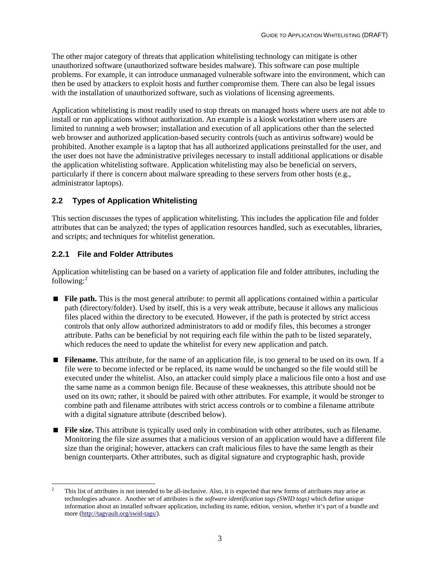The other major category of threats that application whitelisting technology can mitigate is other unauthorized software (unauthorized software besides malware). This software can pose multiple problems. For example, it can introduce unmanaged vulnerable software into the environment, which can then be used by attackers to exploit hosts and further compromise them. There can also be legal issues with the installation of unauthorized software, such as violations of licensing agreements.

Application whitelisting is most readily used to stop threats on managed hosts where users are not able to install or run applications without authorization. An example is a kiosk workstation where users are limited to running a web browser; installation and execution of all applications other than the selected web browser and authorized application-based security controls (such as antivirus software) would be prohibited. Another example is a laptop that has all authorized applications preinstalled for the user, and the user does not have the administrative privileges necessary to install additional applications or disable the application whitelisting software. Application whitelisting may also be beneficial on servers, particularly if there is concern about malware spreading to these servers from other hosts (e.g., administrator laptops).

#### <span id="page-11-0"></span>**2.2 Types of Application Whitelisting**

This section discusses the types of application whitelisting. This includes the application file and folder attributes that can be analyzed; the types of application resources handled, such as executables, libraries, and scripts; and techniques for whitelist generation.

#### <span id="page-11-1"></span>**2.2.1 File and Folder Attributes**

Application whitelisting can be based on a variety of application file and folder attributes, including the following:<sup>[2](#page-11-2)</sup>

- **File path.** This is the most general attribute: to permit all applications contained within a particular path (directory/folder). Used by itself, this is a very weak attribute, because it allows any malicious files placed within the directory to be executed. However, if the path is protected by strict access controls that only allow authorized administrators to add or modify files, this becomes a stronger attribute. Paths can be beneficial by not requiring each file within the path to be listed separately, which reduces the need to update the whitelist for every new application and patch.
- **Filename.** This attribute, for the name of an application file, is too general to be used on its own. If a file were to become infected or be replaced, its name would be unchanged so the file would still be executed under the whitelist. Also, an attacker could simply place a malicious file onto a host and use the same name as a common benign file. Because of these weaknesses, this attribute should not be used on its own; rather, it should be paired with other attributes. For example, it would be stronger to combine path and filename attributes with strict access controls or to combine a filename attribute with a digital signature attribute (described below).
- **File size.** This attribute is typically used only in combination with other attributes, such as filename. Monitoring the file size assumes that a malicious version of an application would have a different file size than the original; however, attackers can craft malicious files to have the same length as their benign counterparts. Other attributes, such as digital signature and cryptographic hash, provide

<span id="page-11-2"></span> <sup>2</sup> This list of attributes is not intended to be all-inclusive. Also, it is expected that new forms of attributes may arise as technologies advance. Another set of attributes is the *software identification tags (SWID tags)* which define unique information about an installed software application, including its name, edition, version, whether it's part of a bundle and more [\(http://tagvault.org/swid-tags/\)](http://tagvault.org/swid-tags/).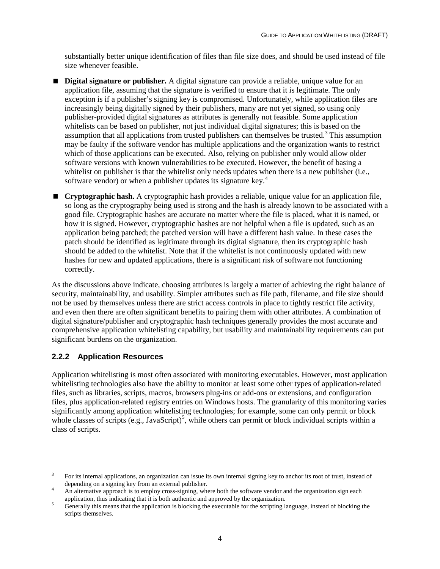substantially better unique identification of files than file size does, and should be used instead of file size whenever feasible.

- **Digital signature or publisher.** A digital signature can provide a reliable, unique value for an application file, assuming that the signature is verified to ensure that it is legitimate. The only exception is if a publisher's signing key is compromised. Unfortunately, while application files are increasingly being digitally signed by their publishers, many are not yet signed, so using only publisher-provided digital signatures as attributes is generally not feasible. Some application whitelists can be based on publisher, not just individual digital signatures; this is based on the assumption that all applications from trusted publishers can themselves be trusted.<sup>[3](#page-12-1)</sup> This assumption may be faulty if the software vendor has multiple applications and the organization wants to restrict which of those applications can be executed. Also, relying on publisher only would allow older software versions with known vulnerabilities to be executed. However, the benefit of basing a whitelist on publisher is that the whitelist only needs updates when there is a new publisher (i.e., software vendor) or when a publisher updates its signature key.<sup>[4](#page-12-2)</sup>
- **Cryptographic hash.** A cryptographic hash provides a reliable, unique value for an application file, so long as the cryptography being used is strong and the hash is already known to be associated with a good file. Cryptographic hashes are accurate no matter where the file is placed, what it is named, or how it is signed. However, cryptographic hashes are not helpful when a file is updated, such as an application being patched; the patched version will have a different hash value. In these cases the patch should be identified as legitimate through its digital signature, then its cryptographic hash should be added to the whitelist. Note that if the whitelist is not continuously updated with new hashes for new and updated applications, there is a significant risk of software not functioning correctly.

As the discussions above indicate, choosing attributes is largely a matter of achieving the right balance of security, maintainability, and usability. Simpler attributes such as file path, filename, and file size should not be used by themselves unless there are strict access controls in place to tightly restrict file activity, and even then there are often significant benefits to pairing them with other attributes. A combination of digital signature/publisher and cryptographic hash techniques generally provides the most accurate and comprehensive application whitelisting capability, but usability and maintainability requirements can put significant burdens on the organization.

#### <span id="page-12-0"></span>**2.2.2 Application Resources**

Application whitelisting is most often associated with monitoring executables. However, most application whitelisting technologies also have the ability to monitor at least some other types of application-related files, such as libraries, scripts, macros, browsers plug-ins or add-ons or extensions, and configuration files, plus application-related registry entries on Windows hosts. The granularity of this monitoring varies significantly among application whitelisting technologies; for example, some can only permit or block whole classes of scripts (e.g., JavaScript)<sup>[5](#page-12-3)</sup>, while others can permit or block individual scripts within a class of scripts.

<span id="page-12-1"></span> <sup>3</sup> For its internal applications, an organization can issue its own internal signing key to anchor its root of trust, instead of

<span id="page-12-2"></span>depending on a signing key from an external publisher.<br>An alternative approach is to employ cross-signing, where both the software vendor and the organization sign each<br>application, thus indicating that it is both authenti

<span id="page-12-3"></span> $\frac{1}{2}$  Generally this means that the application is blocking the executable for the scripting language, instead of blocking the scripts themselves.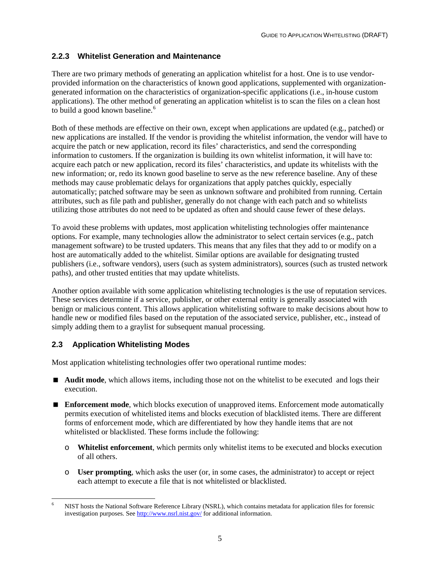#### <span id="page-13-0"></span>**2.2.3 Whitelist Generation and Maintenance**

There are two primary methods of generating an application whitelist for a host. One is to use vendorprovided information on the characteristics of known good applications, supplemented with organizationgenerated information on the characteristics of organization-specific applications (i.e., in-house custom applications). The other method of generating an application whitelist is to scan the files on a clean host to build a good known baseline. [6](#page-13-2)

Both of these methods are effective on their own, except when applications are updated (e.g., patched) or new applications are installed. If the vendor is providing the whitelist information, the vendor will have to acquire the patch or new application, record its files' characteristics, and send the corresponding information to customers. If the organization is building its own whitelist information, it will have to: acquire each patch or new application, record its files' characteristics, and update its whitelists with the new information; or, redo its known good baseline to serve as the new reference baseline. Any of these methods may cause problematic delays for organizations that apply patches quickly, especially automatically; patched software may be seen as unknown software and prohibited from running. Certain attributes, such as file path and publisher, generally do not change with each patch and so whitelists utilizing those attributes do not need to be updated as often and should cause fewer of these delays.

To avoid these problems with updates, most application whitelisting technologies offer maintenance options. For example, many technologies allow the administrator to select certain services (e.g., patch management software) to be trusted updaters. This means that any files that they add to or modify on a host are automatically added to the whitelist. Similar options are available for designating trusted publishers (i.e., software vendors), users (such as system administrators), sources (such as trusted network paths), and other trusted entities that may update whitelists.

Another option available with some application whitelisting technologies is the use of reputation services. These services determine if a service, publisher, or other external entity is generally associated with benign or malicious content. This allows application whitelisting software to make decisions about how to handle new or modified files based on the reputation of the associated service, publisher, etc., instead of simply adding them to a graylist for subsequent manual processing.

#### <span id="page-13-1"></span>**2.3 Application Whitelisting Modes**

Most application whitelisting technologies offer two operational runtime modes:

- **Audit mode**, which allows items, including those not on the whitelist to be executed and logs their execution.
- **Enforcement mode**, which blocks execution of unapproved items. Enforcement mode automatically permits execution of whitelisted items and blocks execution of blacklisted items. There are different forms of enforcement mode, which are differentiated by how they handle items that are not whitelisted or blacklisted. These forms include the following:
	- o **Whitelist enforcement**, which permits only whitelist items to be executed and blocks execution of all others.
	- o **User prompting**, which asks the user (or, in some cases, the administrator) to accept or reject each attempt to execute a file that is not whitelisted or blacklisted.

<span id="page-13-2"></span> <sup>6</sup> NIST hosts the National Software Reference Library (NSRL), which contains metadata for application files for forensic investigation purposes. Se[e http://www.nsrl.nist.gov/](http://www.nsrl.nist.gov/) for additional information.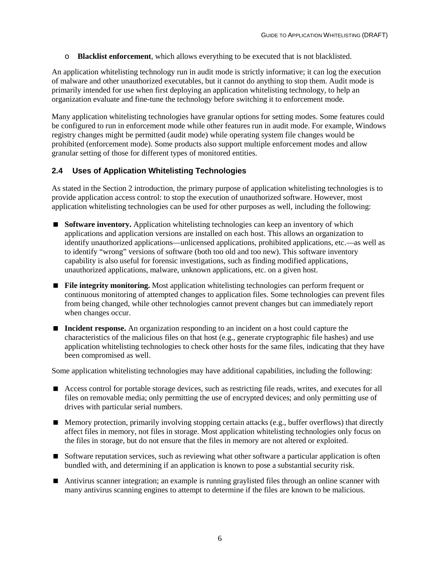o **Blacklist enforcement**, which allows everything to be executed that is not blacklisted.

An application whitelisting technology run in audit mode is strictly informative; it can log the execution of malware and other unauthorized executables, but it cannot do anything to stop them. Audit mode is primarily intended for use when first deploying an application whitelisting technology, to help an organization evaluate and fine-tune the technology before switching it to enforcement mode.

Many application whitelisting technologies have granular options for setting modes. Some features could be configured to run in enforcement mode while other features run in audit mode. For example, Windows registry changes might be permitted (audit mode) while operating system file changes would be prohibited (enforcement mode). Some products also support multiple enforcement modes and allow granular setting of those for different types of monitored entities.

#### <span id="page-14-0"></span>**2.4 Uses of Application Whitelisting Technologies**

As stated in the Section 2 introduction, the primary purpose of application whitelisting technologies is to provide application access control: to stop the execution of unauthorized software. However, most application whitelisting technologies can be used for other purposes as well, including the following:

- **Software inventory.** Application whitelisting technologies can keep an inventory of which applications and application versions are installed on each host. This allows an organization to identify unauthorized applications—unlicensed applications, prohibited applications, etc.—as well as to identify "wrong" versions of software (both too old and too new). This software inventory capability is also useful for forensic investigations, such as finding modified applications, unauthorized applications, malware, unknown applications, etc. on a given host.
- **File integrity monitoring.** Most application whitelisting technologies can perform frequent or continuous monitoring of attempted changes to application files. Some technologies can prevent files from being changed, while other technologies cannot prevent changes but can immediately report when changes occur.
- **Incident response.** An organization responding to an incident on a host could capture the characteristics of the malicious files on that host (e.g., generate cryptographic file hashes) and use application whitelisting technologies to check other hosts for the same files, indicating that they have been compromised as well.

Some application whitelisting technologies may have additional capabilities, including the following:

- Access control for portable storage devices, such as restricting file reads, writes, and executes for all files on removable media; only permitting the use of encrypted devices; and only permitting use of drives with particular serial numbers.
- **Memory protection, primarily involving stopping certain attacks (e.g., buffer overflows) that directly** affect files in memory, not files in storage. Most application whitelisting technologies only focus on the files in storage, but do not ensure that the files in memory are not altered or exploited.
- Software reputation services, such as reviewing what other software a particular application is often bundled with, and determining if an application is known to pose a substantial security risk.
- Antivirus scanner integration; an example is running graylisted files through an online scanner with many antivirus scanning engines to attempt to determine if the files are known to be malicious.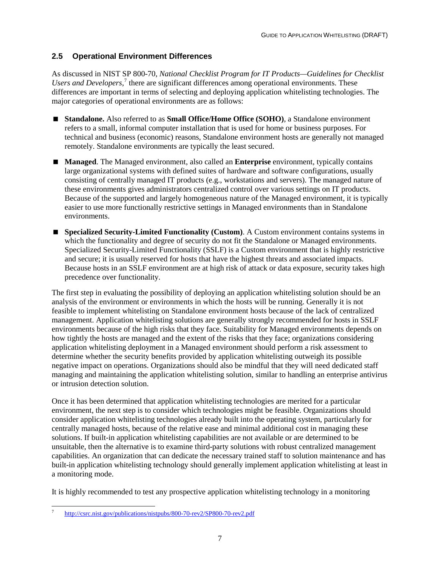#### <span id="page-15-0"></span>**2.5 Operational Environment Differences**

As discussed in NIST SP 800-70, *National Checklist Program for IT Products—Guidelines for Checklist Users and Developers*, [7](#page-15-1) there are significant differences among operational environments. These differences are important in terms of selecting and deploying application whitelisting technologies. The major categories of operational environments are as follows:

- **Standalone.** Also referred to as **Small Office/Home Office (SOHO)**, a Standalone environment refers to a small, informal computer installation that is used for home or business purposes. For technical and business (economic) reasons, Standalone environment hosts are generally not managed remotely. Standalone environments are typically the least secured.
- **Managed**. The Managed environment, also called an **Enterprise** environment, typically contains large organizational systems with defined suites of hardware and software configurations, usually consisting of centrally managed IT products (e.g., workstations and servers). The managed nature of these environments gives administrators centralized control over various settings on IT products. Because of the supported and largely homogeneous nature of the Managed environment, it is typically easier to use more functionally restrictive settings in Managed environments than in Standalone environments.
- **Specialized Security-Limited Functionality (Custom)**. A Custom environment contains systems in which the functionality and degree of security do not fit the Standalone or Managed environments. Specialized Security-Limited Functionality (SSLF) is a Custom environment that is highly restrictive and secure; it is usually reserved for hosts that have the highest threats and associated impacts. Because hosts in an SSLF environment are at high risk of attack or data exposure, security takes high precedence over functionality.

The first step in evaluating the possibility of deploying an application whitelisting solution should be an analysis of the environment or environments in which the hosts will be running. Generally it is not feasible to implement whitelisting on Standalone environment hosts because of the lack of centralized management. Application whitelisting solutions are generally strongly recommended for hosts in SSLF environments because of the high risks that they face. Suitability for Managed environments depends on how tightly the hosts are managed and the extent of the risks that they face; organizations considering application whitelisting deployment in a Managed environment should perform a risk assessment to determine whether the security benefits provided by application whitelisting outweigh its possible negative impact on operations. Organizations should also be mindful that they will need dedicated staff managing and maintaining the application whitelisting solution, similar to handling an enterprise antivirus or intrusion detection solution.

Once it has been determined that application whitelisting technologies are merited for a particular environment, the next step is to consider which technologies might be feasible. Organizations should consider application whitelisting technologies already built into the operating system, particularly for centrally managed hosts, because of the relative ease and minimal additional cost in managing these solutions. If built-in application whitelisting capabilities are not available or are determined to be unsuitable, then the alternative is to examine third-party solutions with robust centralized management capabilities. An organization that can dedicate the necessary trained staff to solution maintenance and has built-in application whitelisting technology should generally implement application whitelisting at least in a monitoring mode.

It is highly recommended to test any prospective application whitelisting technology in a monitoring

<span id="page-15-1"></span> <sup>7</sup> <http://csrc.nist.gov/publications/nistpubs/800-70-rev2/SP800-70-rev2.pdf>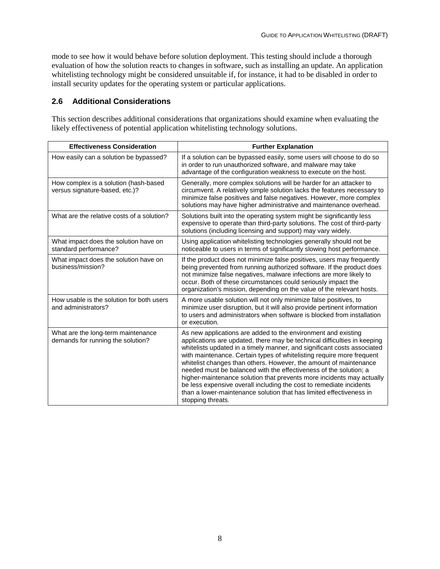mode to see how it would behave before solution deployment. This testing should include a thorough evaluation of how the solution reacts to changes in software, such as installing an update. An application whitelisting technology might be considered unsuitable if, for instance, it had to be disabled in order to install security updates for the operating system or particular applications.

#### <span id="page-16-0"></span>**2.6 Additional Considerations**

This section describes additional considerations that organizations should examine when evaluating the likely effectiveness of potential application whitelisting technology solutions.

| <b>Effectiveness Consideration</b>                                      | <b>Further Explanation</b>                                                                                                                                                                                                                                                                                                                                                                                                                                                                                                                                                                                                                                                          |
|-------------------------------------------------------------------------|-------------------------------------------------------------------------------------------------------------------------------------------------------------------------------------------------------------------------------------------------------------------------------------------------------------------------------------------------------------------------------------------------------------------------------------------------------------------------------------------------------------------------------------------------------------------------------------------------------------------------------------------------------------------------------------|
| How easily can a solution be bypassed?                                  | If a solution can be bypassed easily, some users will choose to do so<br>in order to run unauthorized software, and malware may take<br>advantage of the configuration weakness to execute on the host.                                                                                                                                                                                                                                                                                                                                                                                                                                                                             |
| How complex is a solution (hash-based<br>versus signature-based, etc.)? | Generally, more complex solutions will be harder for an attacker to<br>circumvent. A relatively simple solution lacks the features necessary to<br>minimize false positives and false negatives. However, more complex<br>solutions may have higher administrative and maintenance overhead.                                                                                                                                                                                                                                                                                                                                                                                        |
| What are the relative costs of a solution?                              | Solutions built into the operating system might be significantly less<br>expensive to operate than third-party solutions. The cost of third-party<br>solutions (including licensing and support) may vary widely.                                                                                                                                                                                                                                                                                                                                                                                                                                                                   |
| What impact does the solution have on<br>standard performance?          | Using application whitelisting technologies generally should not be<br>noticeable to users in terms of significantly slowing host performance.                                                                                                                                                                                                                                                                                                                                                                                                                                                                                                                                      |
| What impact does the solution have on<br>business/mission?              | If the product does not minimize false positives, users may frequently<br>being prevented from running authorized software. If the product does<br>not minimize false negatives, malware infections are more likely to<br>occur. Both of these circumstances could seriously impact the<br>organization's mission, depending on the value of the relevant hosts.                                                                                                                                                                                                                                                                                                                    |
| How usable is the solution for both users<br>and administrators?        | A more usable solution will not only minimize false positives, to<br>minimize user disruption, but it will also provide pertinent information<br>to users and administrators when software is blocked from installation<br>or execution.                                                                                                                                                                                                                                                                                                                                                                                                                                            |
| What are the long-term maintenance<br>demands for running the solution? | As new applications are added to the environment and existing<br>applications are updated, there may be technical difficulties in keeping<br>whitelists updated in a timely manner, and significant costs associated<br>with maintenance. Certain types of whitelisting require more frequent<br>whitelist changes than others. However, the amount of maintenance<br>needed must be balanced with the effectiveness of the solution; a<br>higher-maintenance solution that prevents more incidents may actually<br>be less expensive overall including the cost to remediate incidents<br>than a lower-maintenance solution that has limited effectiveness in<br>stopping threats. |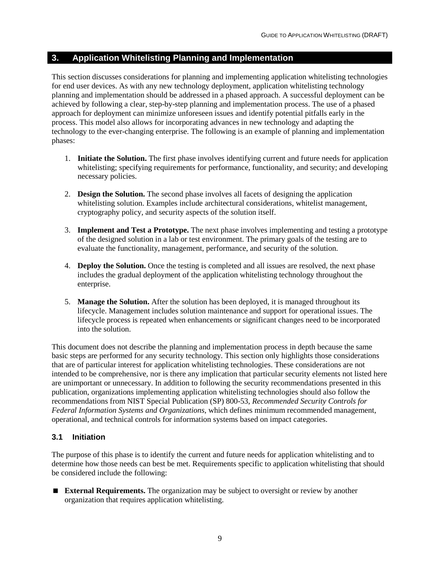#### <span id="page-17-0"></span>**3. Application Whitelisting Planning and Implementation**

This section discusses considerations for planning and implementing application whitelisting technologies for end user devices. As with any new technology deployment, application whitelisting technology planning and implementation should be addressed in a phased approach. A successful deployment can be achieved by following a clear, step-by-step planning and implementation process. The use of a phased approach for deployment can minimize unforeseen issues and identify potential pitfalls early in the process. This model also allows for incorporating advances in new technology and adapting the technology to the ever-changing enterprise. The following is an example of planning and implementation phases:

- 1. **Initiate the Solution.** The first phase involves identifying current and future needs for application whitelisting; specifying requirements for performance, functionality, and security; and developing necessary policies.
- 2. **Design the Solution.** The second phase involves all facets of designing the application whitelisting solution. Examples include architectural considerations, whitelist management, cryptography policy, and security aspects of the solution itself.
- 3. **Implement and Test a Prototype.** The next phase involves implementing and testing a prototype of the designed solution in a lab or test environment. The primary goals of the testing are to evaluate the functionality, management, performance, and security of the solution.
- 4. **Deploy the Solution.** Once the testing is completed and all issues are resolved, the next phase includes the gradual deployment of the application whitelisting technology throughout the enterprise.
- 5. **Manage the Solution.** After the solution has been deployed, it is managed throughout its lifecycle. Management includes solution maintenance and support for operational issues. The lifecycle process is repeated when enhancements or significant changes need to be incorporated into the solution.

This document does not describe the planning and implementation process in depth because the same basic steps are performed for any security technology. This section only highlights those considerations that are of particular interest for application whitelisting technologies. These considerations are not intended to be comprehensive, nor is there any implication that particular security elements not listed here are unimportant or unnecessary. In addition to following the security recommendations presented in this publication, organizations implementing application whitelisting technologies should also follow the recommendations from NIST Special Publication (SP) 800-53, *Recommended Security Controls for Federal Information Systems and Organizations*, which defines minimum recommended management, operational, and technical controls for information systems based on impact categories.

#### <span id="page-17-1"></span>**3.1 Initiation**

The purpose of this phase is to identify the current and future needs for application whitelisting and to determine how those needs can best be met. Requirements specific to application whitelisting that should be considered include the following:

**External Requirements.** The organization may be subject to oversight or review by another organization that requires application whitelisting.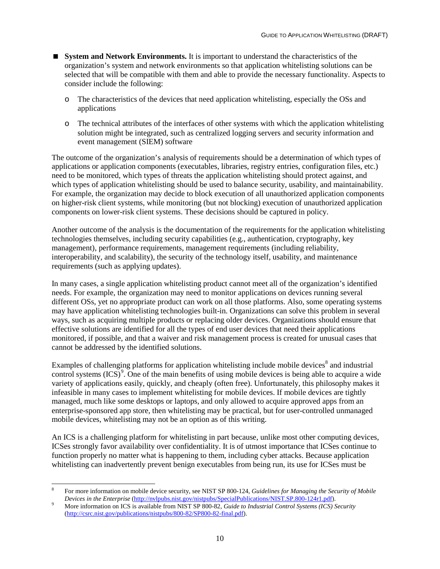- **System and Network Environments.** It is important to understand the characteristics of the organization's system and network environments so that application whitelisting solutions can be selected that will be compatible with them and able to provide the necessary functionality. Aspects to consider include the following:
	- o The characteristics of the devices that need application whitelisting, especially the OSs and applications
	- o The technical attributes of the interfaces of other systems with which the application whitelisting solution might be integrated, such as centralized logging servers and security information and event management (SIEM) software

The outcome of the organization's analysis of requirements should be a determination of which types of applications or application components (executables, libraries, registry entries, configuration files, etc.) need to be monitored, which types of threats the application whitelisting should protect against, and which types of application whitelisting should be used to balance security, usability, and maintainability. For example, the organization may decide to block execution of all unauthorized application components on higher-risk client systems, while monitoring (but not blocking) execution of unauthorized application components on lower-risk client systems. These decisions should be captured in policy.

Another outcome of the analysis is the documentation of the requirements for the application whitelisting technologies themselves, including security capabilities (e.g., authentication, cryptography, key management), performance requirements, management requirements (including reliability, interoperability, and scalability), the security of the technology itself, usability, and maintenance requirements (such as applying updates).

In many cases, a single application whitelisting product cannot meet all of the organization's identified needs. For example, the organization may need to monitor applications on devices running several different OSs, yet no appropriate product can work on all those platforms. Also, some operating systems may have application whitelisting technologies built-in. Organizations can solve this problem in several ways, such as acquiring multiple products or replacing older devices. Organizations should ensure that effective solutions are identified for all the types of end user devices that need their applications monitored, if possible, and that a waiver and risk management process is created for unusual cases that cannot be addressed by the identified solutions.

Examples of challenging platforms for application whitelisting include mobile devices<sup>[8](#page-18-0)</sup> and industrial control systems  $(ICS)^9$  $(ICS)^9$ . One of the main benefits of using mobile devices is being able to acquire a wide variety of applications easily, quickly, and cheaply (often free). Unfortunately, this philosophy makes it infeasible in many cases to implement whitelisting for mobile devices. If mobile devices are tightly managed, much like some desktops or laptops, and only allowed to acquire approved apps from an enterprise-sponsored app store, then whitelisting may be practical, but for user-controlled unmanaged mobile devices, whitelisting may not be an option as of this writing.

An ICS is a challenging platform for whitelisting in part because, unlike most other computing devices, ICSes strongly favor availability over confidentiality. It is of utmost importance that ICSes continue to function properly no matter what is happening to them, including cyber attacks. Because application whitelisting can inadvertently prevent benign executables from being run, its use for ICSes must be

<span id="page-18-0"></span> <sup>8</sup> For more information on mobile device security, see NIST SP 800-124, *Guidelines for Managing the Security of Mobile* 

<span id="page-18-1"></span>More information on ICS is available from NIST SP 800-82, Guide to Industrial Control Systems (ICS) Security [\(http://csrc.nist.gov/publications/nistpubs/800-82/SP800-82-final.pdf\)](http://csrc.nist.gov/publications/nistpubs/800-82/SP800-82-final.pdf).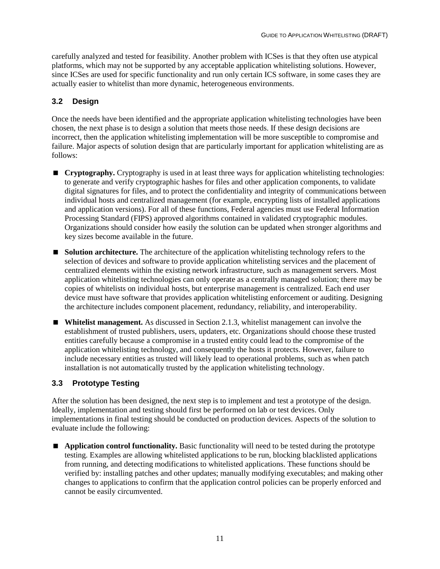carefully analyzed and tested for feasibility. Another problem with ICSes is that they often use atypical platforms, which may not be supported by any acceptable application whitelisting solutions. However, since ICSes are used for specific functionality and run only certain ICS software, in some cases they are actually easier to whitelist than more dynamic, heterogeneous environments.

#### <span id="page-19-0"></span>**3.2 Design**

Once the needs have been identified and the appropriate application whitelisting technologies have been chosen, the next phase is to design a solution that meets those needs. If these design decisions are incorrect, then the application whitelisting implementation will be more susceptible to compromise and failure. Major aspects of solution design that are particularly important for application whitelisting are as follows:

- **Cryptography.** Cryptography is used in at least three ways for application whitelisting technologies: to generate and verify cryptographic hashes for files and other application components, to validate digital signatures for files, and to protect the confidentiality and integrity of communications between individual hosts and centralized management (for example, encrypting lists of installed applications and application versions). For all of these functions, Federal agencies must use Federal Information Processing Standard (FIPS) approved algorithms contained in validated cryptographic modules. Organizations should consider how easily the solution can be updated when stronger algorithms and key sizes become available in the future.
- **Solution architecture.** The architecture of the application whitelisting technology refers to the selection of devices and software to provide application whitelisting services and the placement of centralized elements within the existing network infrastructure, such as management servers. Most application whitelisting technologies can only operate as a centrally managed solution; there may be copies of whitelists on individual hosts, but enterprise management is centralized. Each end user device must have software that provides application whitelisting enforcement or auditing. Designing the architecture includes component placement, redundancy, reliability, and interoperability.
- **Whitelist management.** As discussed in Section 2.1.3, whitelist management can involve the establishment of trusted publishers, users, updaters, etc. Organizations should choose these trusted entities carefully because a compromise in a trusted entity could lead to the compromise of the application whitelisting technology, and consequently the hosts it protects. However, failure to include necessary entities as trusted will likely lead to operational problems, such as when patch installation is not automatically trusted by the application whitelisting technology.

#### <span id="page-19-1"></span>**3.3 Prototype Testing**

After the solution has been designed, the next step is to implement and test a prototype of the design. Ideally, implementation and testing should first be performed on lab or test devices. Only implementations in final testing should be conducted on production devices. Aspects of the solution to evaluate include the following:

**Application control functionality.** Basic functionality will need to be tested during the prototype testing. Examples are allowing whitelisted applications to be run, blocking blacklisted applications from running, and detecting modifications to whitelisted applications. These functions should be verified by: installing patches and other updates; manually modifying executables; and making other changes to applications to confirm that the application control policies can be properly enforced and cannot be easily circumvented.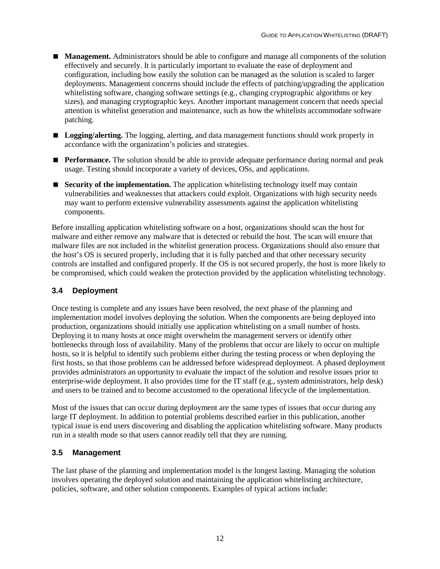- **Management.** Administrators should be able to configure and manage all components of the solution effectively and securely. It is particularly important to evaluate the ease of deployment and configuration, including how easily the solution can be managed as the solution is scaled to larger deployments. Management concerns should include the effects of patching/upgrading the application whitelisting software, changing software settings (e.g., changing cryptographic algorithms or key sizes), and managing cryptographic keys. Another important management concern that needs special attention is whitelist generation and maintenance, such as how the whitelists accommodate software patching.
- **Logging/alerting.** The logging, alerting, and data management functions should work properly in accordance with the organization's policies and strategies.
- **Performance.** The solution should be able to provide adequate performance during normal and peak usage. Testing should incorporate a variety of devices, OSs, and applications.
- **Security of the implementation.** The application whitelisting technology itself may contain vulnerabilities and weaknesses that attackers could exploit. Organizations with high security needs may want to perform extensive vulnerability assessments against the application whitelisting components.

Before installing application whitelisting software on a host, organizations should scan the host for malware and either remove any malware that is detected or rebuild the host. The scan will ensure that malware files are not included in the whitelist generation process. Organizations should also ensure that the host's OS is secured properly, including that it is fully patched and that other necessary security controls are installed and configured properly. If the OS is not secured properly, the host is more likely to be compromised, which could weaken the protection provided by the application whitelisting technology.

#### <span id="page-20-0"></span>**3.4 Deployment**

Once testing is complete and any issues have been resolved, the next phase of the planning and implementation model involves deploying the solution. When the components are being deployed into production, organizations should initially use application whitelisting on a small number of hosts. Deploying it to many hosts at once might overwhelm the management servers or identify other bottlenecks through loss of availability. Many of the problems that occur are likely to occur on multiple hosts, so it is helpful to identify such problems either during the testing process or when deploying the first hosts, so that those problems can be addressed before widespread deployment. A phased deployment provides administrators an opportunity to evaluate the impact of the solution and resolve issues prior to enterprise-wide deployment. It also provides time for the IT staff (e.g., system administrators, help desk) and users to be trained and to become accustomed to the operational lifecycle of the implementation.

Most of the issues that can occur during deployment are the same types of issues that occur during any large IT deployment. In addition to potential problems described earlier in this publication, another typical issue is end users discovering and disabling the application whitelisting software. Many products run in a stealth mode so that users cannot readily tell that they are running.

#### <span id="page-20-1"></span>**3.5 Management**

The last phase of the planning and implementation model is the longest lasting. Managing the solution involves operating the deployed solution and maintaining the application whitelisting architecture, policies, software, and other solution components. Examples of typical actions include: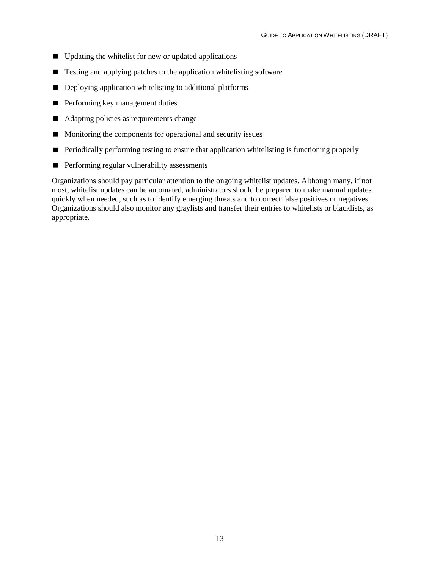- $\blacksquare$  Updating the whitelist for new or updated applications
- Testing and applying patches to the application whitelisting software
- Deploying application whitelisting to additional platforms
- **Performing key management duties**
- Adapting policies as requirements change
- **Monitoring the components for operational and security issues**
- **Periodically performing testing to ensure that application whitelisting is functioning properly**
- **Performing regular vulnerability assessments**

Organizations should pay particular attention to the ongoing whitelist updates. Although many, if not most, whitelist updates can be automated, administrators should be prepared to make manual updates quickly when needed, such as to identify emerging threats and to correct false positives or negatives. Organizations should also monitor any graylists and transfer their entries to whitelists or blacklists, as appropriate.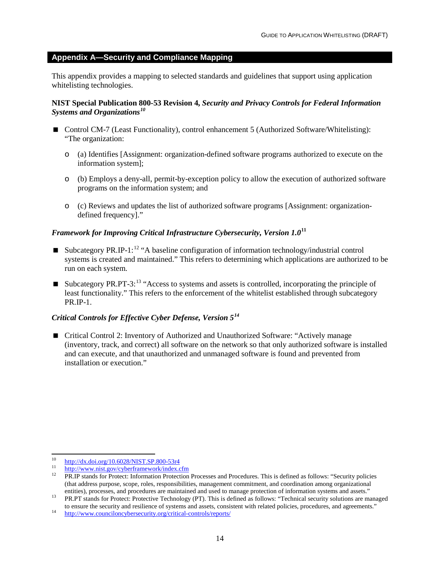#### <span id="page-22-0"></span>**Appendix A—Security and Compliance Mapping**

This appendix provides a mapping to selected standards and guidelines that support using application whitelisting technologies.

#### **NIST Special Publication 800-53 Revision 4,** *Security and Privacy Controls for Federal Information Systems and Organizations[10](#page-22-1)*

- Control CM-7 (Least Functionality), control enhancement 5 (Authorized Software/Whitelisting): "The organization:
	- o (a) Identifies [Assignment: organization-defined software programs authorized to execute on the information system];
	- o (b) Employs a deny-all, permit-by-exception policy to allow the execution of authorized software programs on the information system; and
	- o (c) Reviews and updates the list of authorized software programs [Assignment: organizationdefined frequency]."

#### *Framework for Improving Critical Infrastructure Cybersecurity, Version 1.0***[11](#page-22-2)**

- Subcategory PR.IP-1:<sup>[12](#page-22-3)</sup> "A baseline configuration of information technology/industrial control systems is created and maintained." This refers to determining which applications are authorized to be run on each system.
- Subcategory PR.PT-3:<sup>[13](#page-22-4)</sup> "Access to systems and assets is controlled, incorporating the principle of least functionality." This refers to the enforcement of the whitelist established through subcategory PR.IP-1.

#### *Critical Controls for Effective Cyber Defense, Version 5[14](#page-22-5)*

■ Critical Control 2: Inventory of Authorized and Unauthorized Software: "Actively manage (inventory, track, and correct) all software on the network so that only authorized software is installed and can execute, and that unauthorized and unmanaged software is found and prevented from installation or execution."

<span id="page-22-3"></span>

<span id="page-22-2"></span><span id="page-22-1"></span><sup>&</sup>lt;sup>10</sup> <http://dx.doi.org/10.6028/NIST.SP.800-53r4><br>
<sup>11</sup> <http://www.nist.gov/cyberframework/index.cfm><br> **PR.IP stands for Protect: Information Protection Processes and Procedures. This is defined as follows: "Security policie** (that address purpose, scope, roles, responsibilities, management commitment, and coordination among organizational

<span id="page-22-4"></span>entities), processes, and procedures are maintained and used to manage protection of information systems and assets."<br>PR.PT stands for Protect: Protective Technology (PT). This is defined as follows: "Technical security so to ensure the security and resilience of systems and assets, consistent with related policies, procedures, and agreements."<br>
<sup>14</sup> <http://www.counciloncybersecurity.org/critical-controls/reports/>

<span id="page-22-5"></span>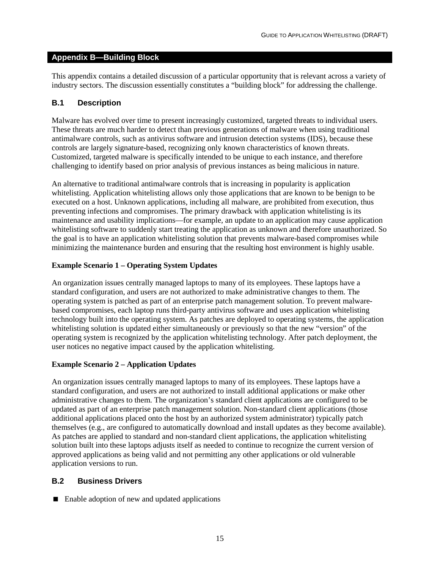#### <span id="page-23-0"></span>**Appendix B—Building Block**

This appendix contains a detailed discussion of a particular opportunity that is relevant across a variety of industry sectors. The discussion essentially constitutes a "building block" for addressing the challenge.

#### <span id="page-23-1"></span>**B.1 Description**

Malware has evolved over time to present increasingly customized, targeted threats to individual users. These threats are much harder to detect than previous generations of malware when using traditional antimalware controls, such as antivirus software and intrusion detection systems (IDS), because these controls are largely signature-based, recognizing only known characteristics of known threats. Customized, targeted malware is specifically intended to be unique to each instance, and therefore challenging to identify based on prior analysis of previous instances as being malicious in nature.

An alternative to traditional antimalware controls that is increasing in popularity is application whitelisting. Application whitelisting allows only those applications that are known to be benign to be executed on a host. Unknown applications, including all malware, are prohibited from execution, thus preventing infections and compromises. The primary drawback with application whitelisting is its maintenance and usability implications—for example, an update to an application may cause application whitelisting software to suddenly start treating the application as unknown and therefore unauthorized. So the goal is to have an application whitelisting solution that prevents malware-based compromises while minimizing the maintenance burden and ensuring that the resulting host environment is highly usable.

#### **Example Scenario 1 – Operating System Updates**

An organization issues centrally managed laptops to many of its employees. These laptops have a standard configuration, and users are not authorized to make administrative changes to them. The operating system is patched as part of an enterprise patch management solution. To prevent malwarebased compromises, each laptop runs third-party antivirus software and uses application whitelisting technology built into the operating system. As patches are deployed to operating systems, the application whitelisting solution is updated either simultaneously or previously so that the new "version" of the operating system is recognized by the application whitelisting technology. After patch deployment, the user notices no negative impact caused by the application whitelisting.

#### **Example Scenario 2 – Application Updates**

An organization issues centrally managed laptops to many of its employees. These laptops have a standard configuration, and users are not authorized to install additional applications or make other administrative changes to them. The organization's standard client applications are configured to be updated as part of an enterprise patch management solution. Non-standard client applications (those additional applications placed onto the host by an authorized system administrator) typically patch themselves (e.g., are configured to automatically download and install updates as they become available). As patches are applied to standard and non-standard client applications, the application whitelisting solution built into these laptops adjusts itself as needed to continue to recognize the current version of approved applications as being valid and not permitting any other applications or old vulnerable application versions to run.

#### <span id="page-23-2"></span>**B.2 Business Drivers**

 $\blacksquare$  Enable adoption of new and updated applications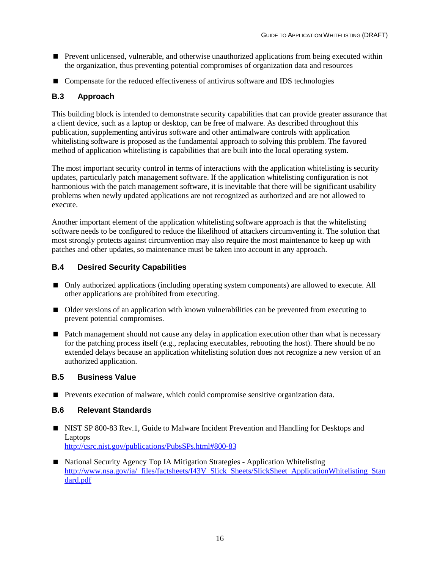- **Prevent unlicensed, vulnerable, and otherwise unauthorized applications from being executed within** the organization, thus preventing potential compromises of organization data and resources
- Compensate for the reduced effectiveness of antivirus software and IDS technologies

#### <span id="page-24-0"></span>**B.3 Approach**

This building block is intended to demonstrate security capabilities that can provide greater assurance that a client device, such as a laptop or desktop, can be free of malware. As described throughout this publication, supplementing antivirus software and other antimalware controls with application whitelisting software is proposed as the fundamental approach to solving this problem. The favored method of application whitelisting is capabilities that are built into the local operating system.

The most important security control in terms of interactions with the application whitelisting is security updates, particularly patch management software. If the application whitelisting configuration is not harmonious with the patch management software, it is inevitable that there will be significant usability problems when newly updated applications are not recognized as authorized and are not allowed to execute.

Another important element of the application whitelisting software approach is that the whitelisting software needs to be configured to reduce the likelihood of attackers circumventing it. The solution that most strongly protects against circumvention may also require the most maintenance to keep up with patches and other updates, so maintenance must be taken into account in any approach.

#### <span id="page-24-1"></span>**B.4 Desired Security Capabilities**

- Only authorized applications (including operating system components) are allowed to execute. All other applications are prohibited from executing.
- Older versions of an application with known vulnerabilities can be prevented from executing to prevent potential compromises.
- Patch management should not cause any delay in application execution other than what is necessary for the patching process itself (e.g., replacing executables, rebooting the host). There should be no extended delays because an application whitelisting solution does not recognize a new version of an authorized application.

#### <span id="page-24-2"></span>**B.5 Business Value**

Prevents execution of malware, which could compromise sensitive organization data.

#### <span id="page-24-3"></span>**B.6 Relevant Standards**

- **NIST SP 800-83 Rev.1, Guide to Malware Incident Prevention and Handling for Desktops and** Laptops <http://csrc.nist.gov/publications/PubsSPs.html#800-83>
- National Security Agency Top IA Mitigation Strategies Application Whitelisting [http://www.nsa.gov/ia/\\_files/factsheets/I43V\\_Slick\\_Sheets/SlickSheet\\_ApplicationWhitelisting\\_Stan](http://www.nsa.gov/ia/_files/factsheets/I43V_Slick_Sheets/SlickSheet_ApplicationWhitelisting_Standard.pdf) [dard.pdf](http://www.nsa.gov/ia/_files/factsheets/I43V_Slick_Sheets/SlickSheet_ApplicationWhitelisting_Standard.pdf)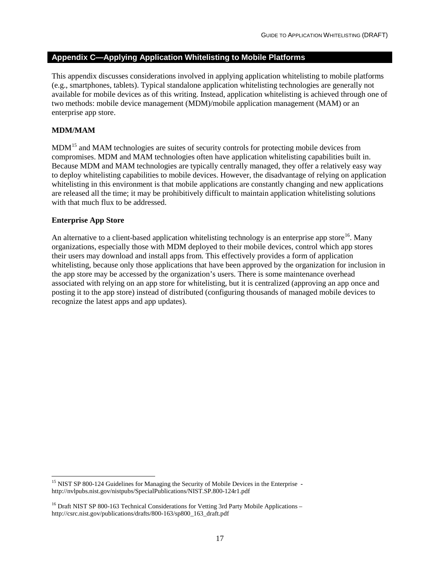#### <span id="page-25-0"></span>**Appendix C—Applying Application Whitelisting to Mobile Platforms**

This appendix discusses considerations involved in applying application whitelisting to mobile platforms (e.g., smartphones, tablets). Typical standalone application whitelisting technologies are generally not available for mobile devices as of this writing. Instead, application whitelisting is achieved through one of two methods: mobile device management (MDM)/mobile application management (MAM) or an enterprise app store.

#### **MDM/MAM**

MDM<sup>[15](#page-25-1)</sup> and MAM technologies are suites of security controls for protecting mobile devices from compromises. MDM and MAM technologies often have application whitelisting capabilities built in. Because MDM and MAM technologies are typically centrally managed, they offer a relatively easy way to deploy whitelisting capabilities to mobile devices. However, the disadvantage of relying on application whitelisting in this environment is that mobile applications are constantly changing and new applications are released all the time; it may be prohibitively difficult to maintain application whitelisting solutions with that much flux to be addressed.

#### **Enterprise App Store**

An alternative to a client-based application whitelisting technology is an enterprise app store<sup>16</sup>. Many organizations, especially those with MDM deployed to their mobile devices, control which app stores their users may download and install apps from. This effectively provides a form of application whitelisting, because only those applications that have been approved by the organization for inclusion in the app store may be accessed by the organization's users. There is some maintenance overhead associated with relying on an app store for whitelisting, but it is centralized (approving an app once and posting it to the app store) instead of distributed (configuring thousands of managed mobile devices to recognize the latest apps and app updates).

<span id="page-25-1"></span> <sup>15</sup> NIST SP 800-124 Guidelines for Managing the Security of Mobile Devices in the Enterprise  http://nvlpubs.nist.gov/nistpubs/SpecialPublications/NIST.SP.800-124r1.pdf

<span id="page-25-2"></span> $16$  Draft NIST SP 800-163 Technical Considerations for Vetting 3rd Party Mobile Applications – http://csrc.nist.gov/publications/drafts/800-163/sp800\_163\_draft.pdf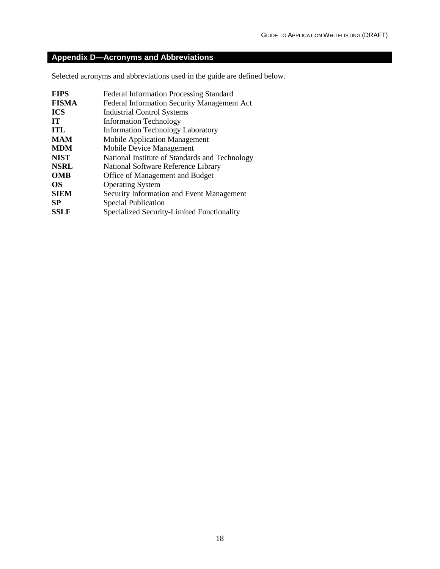## <span id="page-26-0"></span>**Appendix D—Acronyms and Abbreviations**

Selected acronyms and abbreviations used in the guide are defined below.

| <b>FIPS</b>  | <b>Federal Information Processing Standard</b>     |
|--------------|----------------------------------------------------|
| <b>FISMA</b> | <b>Federal Information Security Management Act</b> |
| <b>ICS</b>   | <b>Industrial Control Systems</b>                  |
| <b>IT</b>    | <b>Information Technology</b>                      |
| ITL          | <b>Information Technology Laboratory</b>           |
| <b>MAM</b>   | <b>Mobile Application Management</b>               |
| <b>MDM</b>   | Mobile Device Management                           |
| <b>NIST</b>  | National Institute of Standards and Technology     |
| <b>NSRL</b>  | National Software Reference Library                |
| <b>OMB</b>   | Office of Management and Budget                    |
| <b>OS</b>    | <b>Operating System</b>                            |
| <b>SIEM</b>  | Security Information and Event Management          |
| <b>SP</b>    | <b>Special Publication</b>                         |
| <b>SSLF</b>  | Specialized Security-Limited Functionality         |